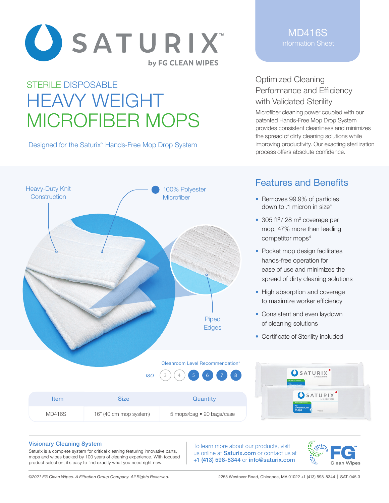

# STERILE DISPOSABLE HEAVY WEIGHT MICROFIBER MOPS

Designed for the Saturix<sup>™</sup> Hands-Free Mop Drop System



### MD416S Information Sheet

### Optimized Cleaning Performance and Efficiency with Validated Sterility

Microfiber cleaning power coupled with our patented Hands-Free Mop Drop System provides consistent cleanliness and minimizes the spread of dirty cleaning solutions while improving productivity. Our exacting sterilization process offers absolute confidence.

# Features and Benefits

- Removes 99.9% of particles down to .1 micron in size4
- 305 ft<sup>2</sup> / 28 m<sup>2</sup> coverage per mop, 47% more than leading competitor mops<sup>4</sup>
- Pocket mop design facilitates hands-free operation for ease of use and minimizes the spread of dirty cleaning solutions
- High absorption and coverage to maximize worker efficiency
- Consistent and even laydown of cleaning solutions
- Certificate of Sterility included

 $\sum_{i=1}^{n}$  . The second second

|               | <b>ISO</b>             | $(4)$ 5 6 7 8<br>$\sim$   | USAIURIX<br>by FG CLEAN WIPES<br><b>VALIDATED STERILE</b><br>cleanroom.                       |  |
|---------------|------------------------|---------------------------|-----------------------------------------------------------------------------------------------|--|
| <b>Item</b>   | <b>Size</b>            | Quantity                  | $\left.\bullet\right.\overline{\left.\texttt{SATURIX}\right.^{\bullet}}$<br>VALIDATED STERILE |  |
| <b>MD416S</b> | 16" (40 cm mop system) | 5 mops/bag • 20 bags/case | cleanroom<br>mops<br><b>CERTIFICATE</b>                                                       |  |

#### Visionary Cleaning System

Saturix is a complete system for critical cleaning featuring innovative carts, mops and wipes backed by 100 years of cleaning experience. With focused product selection, it's easy to find exactly what you need right now.

To learn more about our products, visit us online at **Saturix.com** or contact us at +1 (413) 598-8344 or info@saturix.com



*©2021 FG Clean Wipes. A Filtration Group Company. All Rights Reserved.* 2255 Westover Road, Chicopee, MA 01022 +1 (413) 598-8344 | SAT-045.3